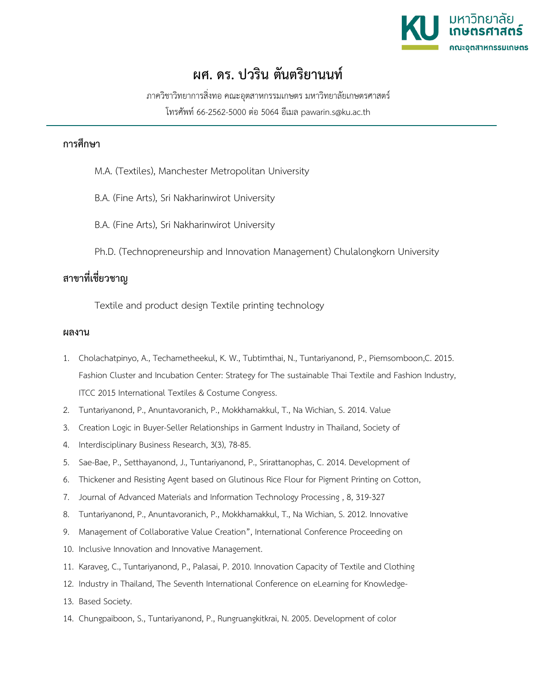

## **ผศ. ดร. ปวริน ตันตริยานนท**

ภาควิชาวิทยาการสิ่งทอ คณะอุตสาหกรรมเกษตร มหาวิทยาลัยเกษตรศาสตร

โทรศัพท 66-2562-5000 ตอ 5064 อีเมล pawarin.s@ku.ac.th

## **การศึกษา**

- M.A. (Textiles), Manchester Metropolitan University
- B.A. (Fine Arts), Sri Nakharinwirot University
- B.A. (Fine Arts), Sri Nakharinwirot University
- Ph.D. (Technopreneurship and Innovation Management) Chulalongkorn University

## **สาขาที่เชี่ยวชาญ**

Textile and product design Textile printing technology

## **ผลงาน**

- 1. Cholachatpinyo, A., Techametheekul, K. W., Tubtimthai, N., Tuntariyanond, P., Piemsomboon,C. 2015. Fashion Cluster and Incubation Center: Strategy for The sustainable Thai Textile and Fashion Industry, ITCC 2015 International Textiles & Costume Congress.
- 2. Tuntariyanond, P., Anuntavoranich, P., Mokkhamakkul, T., Na Wichian, S. 2014. Value
- 3. Creation Logic in Buyer-Seller Relationships in Garment Industry in Thailand, Society of
- 4. Interdisciplinary Business Research, 3(3), 78-85.
- 5. Sae-Bae, P., Setthayanond, J., Tuntariyanond, P., Srirattanophas, C. 2014. Development of
- 6. Thickener and Resisting Agent based on Glutinous Rice Flour for Pigment Printing on Cotton,
- 7. Journal of Advanced Materials and Information Technology Processing , 8, 319-327
- 8. Tuntariyanond, P., Anuntavoranich, P., Mokkhamakkul, T., Na Wichian, S. 2012. Innovative
- 9. Management of Collaborative Value Creation", International Conference Proceeding on
- 10. Inclusive Innovation and Innovative Management.
- 11. Karaveg, C., Tuntariyanond, P., Palasai, P. 2010. Innovation Capacity of Textile and Clothing
- 12. Industry in Thailand, The Seventh International Conference on eLearning for Knowledge-
- 13. Based Society.
- 14. Chungpaiboon, S., Tuntariyanond, P., Rungruangkitkrai, N. 2005. Development of color